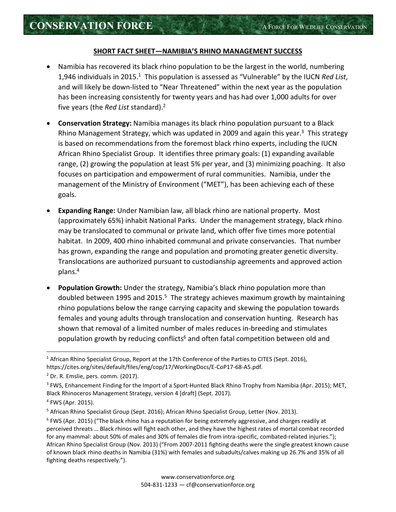## **SHORT FACT SHEET—NAMIBIA'S RHINO MANAGEMENT SUCCESS**

- Namibia has recovered its black rhino population to be the largest in the world, numbering 1,946 individuals in 2015.<sup>1</sup> This population is assessed as "Vulnerable" by the IUCN *Red List*, and will likely be down-listed to "Near Threatened" within the next year as the population has been increasing consistently for twenty years and has had over 1,000 adults for over five years (the *Red List* standard).<sup>2</sup>
- **Conservation Strategy:** Namibia manages its black rhino population pursuant to a Black Rhino Management Strategy, which was updated in 2009 and again this year.<sup>3</sup> This strategy is based on recommendations from the foremost black rhino experts, including the IUCN African Rhino Specialist Group. It identifies three primary goals: (1) expanding available range, (2) growing the population at least 5% per year, and (3) minimizing poaching. It also focuses on participation and empowerment of rural communities. Namibia, under the management of the Ministry of Environment ("MET"), has been achieving each of these goals.
- **Expanding Range:** Under Namibian law, all black rhino are national property. Most (approximately 65%) inhabit National Parks. Under the management strategy, black rhino may be translocated to communal or private land, which offer five times more potential habitat. In 2009, 400 rhino inhabited communal and private conservancies. That number has grown, expanding the range and population and promoting greater genetic diversity. Translocations are authorized pursuant to custodianship agreements and approved action plans.<sup>4</sup>
- **Population Growth:** Under the strategy, Namibia's black rhino population more than doubled between 1995 and 2015.<sup>5</sup> The strategy achieves maximum growth by maintaining rhino populations below the range carrying capacity and skewing the population towards females and young adults through translocation and conservation hunting. Research has shown that removal of a limited number of males reduces in-breeding and stimulates population growth by reducing conflicts<sup>6</sup> and often fatal competition between old and

<u>.</u>

<sup>&</sup>lt;sup>1</sup> African Rhino Specialist Group, Report at the 17th Conference of the Parties to CITES (Sept. 2016), https://cites.org/sites/default/files/eng/cop/17/WorkingDocs/E-CoP17-68-A5.pdf.

 $<sup>2</sup>$  Dr. R. Emslie, pers. comm. (2017).</sup>

<sup>&</sup>lt;sup>3</sup> FWS, Enhancement Finding for the Import of a Sport-Hunted Black Rhino Trophy from Namibia (Apr. 2015); MET, Black Rhinoceros Management Strategy, version 4 [draft] (Sept. 2017).

<sup>4</sup> FWS (Apr. 2015).

<sup>&</sup>lt;sup>5</sup> African Rhino Specialist Group (Sept. 2016); African Rhino Specialist Group, Letter (Nov. 2013).

<sup>&</sup>lt;sup>6</sup> FWS (Apr. 2015) ("The black rhino has a reputation for being extremely aggressive, and charges readily at perceived threats … Black rhinos will fight each other, and they have the highest rates of mortal combat recorded for any mammal: about 50% of males and 30% of females die from intra-specific, combated-related injuries."); African Rhino Specialist Group (Nov. 2013) ("From 2007-2011 fighting deaths were the single greatest known cause of known black rhino deaths in Namibia (31%) with females and subadults/calves making up 26.7% and 35% of all fighting deaths respectively.").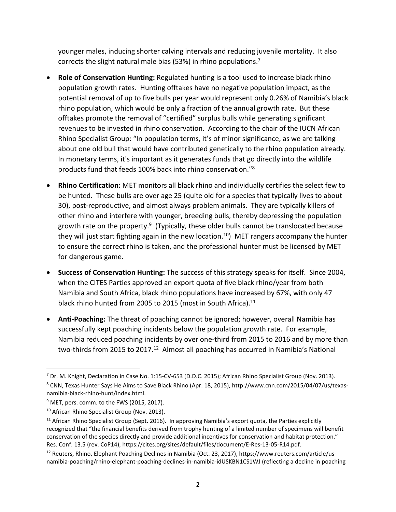younger males, inducing shorter calving intervals and reducing juvenile mortality. It also corrects the slight natural male bias (53%) in rhino populations.<sup>7</sup>

- **Role of Conservation Hunting:** Regulated hunting is a tool used to increase black rhino population growth rates. Hunting offtakes have no negative population impact, as the potential removal of up to five bulls per year would represent only 0.26% of Namibia's black rhino population, which would be only a fraction of the annual growth rate. But these offtakes promote the removal of "certified" surplus bulls while generating significant revenues to be invested in rhino conservation. According to the chair of the IUCN African Rhino Specialist Group: "In population terms, it's of minor significance, as we are talking about one old bull that would have contributed genetically to the rhino population already. In monetary terms, it's important as it generates funds that go directly into the wildlife products fund that feeds 100% back into rhino conservation."<sup>8</sup>
- **Rhino Certification:** MET monitors all black rhino and individually certifies the select few to be hunted. These bulls are over age 25 (quite old for a species that typically lives to about 30), post-reproductive, and almost always problem animals. They are typically killers of other rhino and interfere with younger, breeding bulls, thereby depressing the population growth rate on the property.<sup>9</sup> (Typically, these older bulls cannot be translocated because they will just start fighting again in the new location.<sup>10</sup>) MET rangers accompany the hunter to ensure the correct rhino is taken, and the professional hunter must be licensed by MET for dangerous game.
- **Success of Conservation Hunting:** The success of this strategy speaks for itself. Since 2004, when the CITES Parties approved an export quota of five black rhino/year from both Namibia and South Africa, black rhino populations have increased by 67%, with only 47 black rhino hunted from 2005 to 2015 (most in South Africa).<sup>11</sup>
- **Anti-Poaching:** The threat of poaching cannot be ignored; however, overall Namibia has successfully kept poaching incidents below the population growth rate. For example, Namibia reduced poaching incidents by over one-third from 2015 to 2016 and by more than two-thirds from 2015 to 2017.<sup>12</sup> Almost all poaching has occurred in Namibia's National

-

<sup>&</sup>lt;sup>7</sup> Dr. M. Knight, Declaration in Case No. 1:15-CV-653 (D.D.C. 2015); African Rhino Specialist Group (Nov. 2013).

<sup>8</sup> CNN, Texas Hunter Says He Aims to Save Black Rhino (Apr. 18, 2015), http://www.cnn.com/2015/04/07/us/texasnamibia-black-rhino-hunt/index.html.

<sup>&</sup>lt;sup>9</sup> MET, pers. comm. to the FWS (2015, 2017).

<sup>&</sup>lt;sup>10</sup> African Rhino Specialist Group (Nov. 2013).

 $11$  African Rhino Specialist Group (Sept. 2016). In approving Namibia's export quota, the Parties explicitly recognized that "the financial benefits derived from trophy hunting of a limited number of specimens will benefit conservation of the species directly and provide additional incentives for conservation and habitat protection." Res. Conf. 13.5 (rev. CoP14), https://cites.org/sites/default/files/document/E-Res-13-05-R14.pdf.

<sup>12</sup> Reuters, Rhino, Elephant Poaching Declines in Namibia (Oct. 23, 2017), https://www.reuters.com/article/usnamibia-poaching/rhino-elephant-poaching-declines-in-namibia-idUSKBN1CS1WJ (reflecting a decline in poaching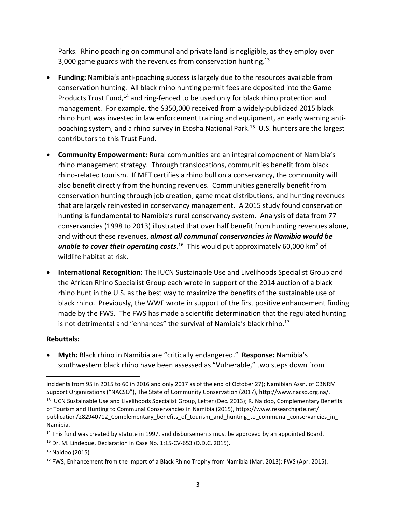Parks. Rhino poaching on communal and private land is negligible, as they employ over 3,000 game guards with the revenues from conservation hunting.<sup>13</sup>

- **Funding:** Namibia's anti-poaching success is largely due to the resources available from conservation hunting. All black rhino hunting permit fees are deposited into the Game Products Trust Fund,<sup>14</sup> and ring-fenced to be used only for black rhino protection and management. For example, the \$350,000 received from a widely-publicized 2015 black rhino hunt was invested in law enforcement training and equipment, an early warning antipoaching system, and a rhino survey in Etosha National Park.<sup>15</sup> U.S. hunters are the largest contributors to this Trust Fund.
- **Community Empowerment:** Rural communities are an integral component of Namibia's rhino management strategy. Through translocations, communities benefit from black rhino-related tourism. If MET certifies a rhino bull on a conservancy, the community will also benefit directly from the hunting revenues. Communities generally benefit from conservation hunting through job creation, game meat distributions, and hunting revenues that are largely reinvested in conservancy management. A 2015 study found conservation hunting is fundamental to Namibia's rural conservancy system. Analysis of data from 77 conservancies (1998 to 2013) illustrated that over half benefit from hunting revenues alone, and without these revenues, *almost all communal conservancies in Namibia would be*  unable to cover their operating costs.<sup>16</sup> This would put approximately 60,000 km<sup>2</sup> of wildlife habitat at risk.
- **International Recognition:** The IUCN Sustainable Use and Livelihoods Specialist Group and the African Rhino Specialist Group each wrote in support of the 2014 auction of a black rhino hunt in the U.S. as the best way to maximize the benefits of the sustainable use of black rhino. Previously, the WWF wrote in support of the first positive enhancement finding made by the FWS. The FWS has made a scientific determination that the regulated hunting is not detrimental and "enhances" the survival of Namibia's black rhino.<sup>17</sup>

## **Rebuttals:**

-

• **Myth:** Black rhino in Namibia are "critically endangered." **Response:** Namibia's southwestern black rhino have been assessed as "Vulnerable," two steps down from

incidents from 95 in 2015 to 60 in 2016 and only 2017 as of the end of October 27); Namibian Assn. of CBNRM Support Organizations ("NACSO"), The State of Community Conservation (2017), http://www.nacso.org.na/.

<sup>&</sup>lt;sup>13</sup> IUCN Sustainable Use and Livelihoods Specialist Group, Letter (Dec. 2013); R. Naidoo, Complementary Benefits of Tourism and Hunting to Communal Conservancies in Namibia (2015), https://www.researchgate.net/ publication/282940712 Complementary benefits of tourism and hunting to communal conservancies in Namibia.

<sup>&</sup>lt;sup>14</sup> This fund was created by statute in 1997, and disbursements must be approved by an appointed Board.

<sup>15</sup> Dr. M. Lindeque, Declaration in Case No. 1:15-CV-653 (D.D.C. 2015).

<sup>16</sup> Naidoo (2015).

<sup>&</sup>lt;sup>17</sup> FWS, Enhancement from the Import of a Black Rhino Trophy from Namibia (Mar. 2013); FWS (Apr. 2015).